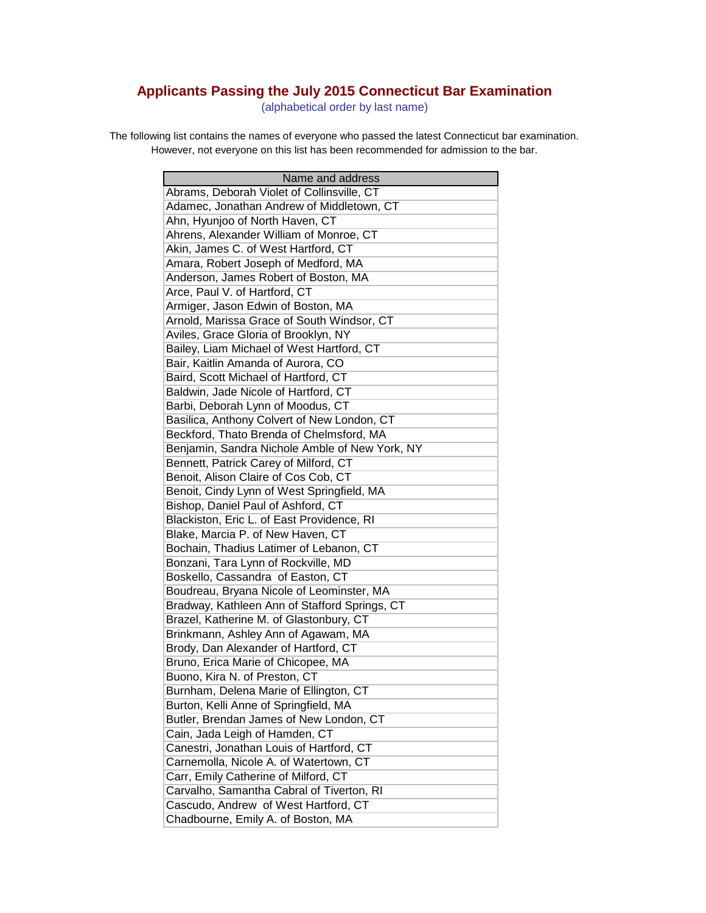## **Applicants Passing the July 2015 Connecticut Bar Examination**

(alphabetical order by last name)

The following list contains the names of everyone who passed the latest Connecticut bar examination. However, not everyone on this list has been recommended for admission to the bar.

| Name and address                               |
|------------------------------------------------|
| Abrams, Deborah Violet of Collinsville, CT     |
| Adamec, Jonathan Andrew of Middletown, CT      |
| Ahn, Hyunjoo of North Haven, CT                |
| Ahrens, Alexander William of Monroe, CT        |
| Akin, James C. of West Hartford, CT            |
| Amara, Robert Joseph of Medford, MA            |
| Anderson, James Robert of Boston, MA           |
| Arce, Paul V. of Hartford, CT                  |
| Armiger, Jason Edwin of Boston, MA             |
| Arnold, Marissa Grace of South Windsor, CT     |
| Aviles, Grace Gloria of Brooklyn, NY           |
| Bailey, Liam Michael of West Hartford, CT      |
| Bair, Kaitlin Amanda of Aurora, CO             |
| Baird, Scott Michael of Hartford, CT           |
| Baldwin, Jade Nicole of Hartford, CT           |
| Barbi, Deborah Lynn of Moodus, CT              |
| Basilica, Anthony Colvert of New London, CT    |
| Beckford, Thato Brenda of Chelmsford, MA       |
| Benjamin, Sandra Nichole Amble of New York, NY |
| Bennett, Patrick Carey of Milford, CT          |
| Benoit, Alison Claire of Cos Cob, CT           |
| Benoit, Cindy Lynn of West Springfield, MA     |
| Bishop, Daniel Paul of Ashford, CT             |
| Blackiston, Eric L. of East Providence, RI     |
| Blake, Marcia P. of New Haven, CT              |
| Bochain, Thadius Latimer of Lebanon, CT        |
| Bonzani, Tara Lynn of Rockville, MD            |
| Boskello, Cassandra of Easton, CT              |
| Boudreau, Bryana Nicole of Leominster, MA      |
| Bradway, Kathleen Ann of Stafford Springs, CT  |
| Brazel, Katherine M. of Glastonbury, CT        |
| Brinkmann, Ashley Ann of Agawam, MA            |
| Brody, Dan Alexander of Hartford, CT           |
| Bruno, Erica Marie of Chicopee, MA             |
| Buono, Kira N. of Preston, CT                  |
| Burnham, Delena Marie of Ellington, CT         |
| Burton, Kelli Anne of Springfield, MA          |
| Butler, Brendan James of New London, CT        |
| Cain, Jada Leigh of Hamden, CT                 |
| Canestri, Jonathan Louis of Hartford, CT       |
| Carnemolla, Nicole A. of Watertown, CT         |
| Carr, Emily Catherine of Milford, CT           |
| Carvalho, Samantha Cabral of Tiverton, RI      |
| Cascudo, Andrew of West Hartford, CT           |
| Chadbourne, Emily A. of Boston, MA             |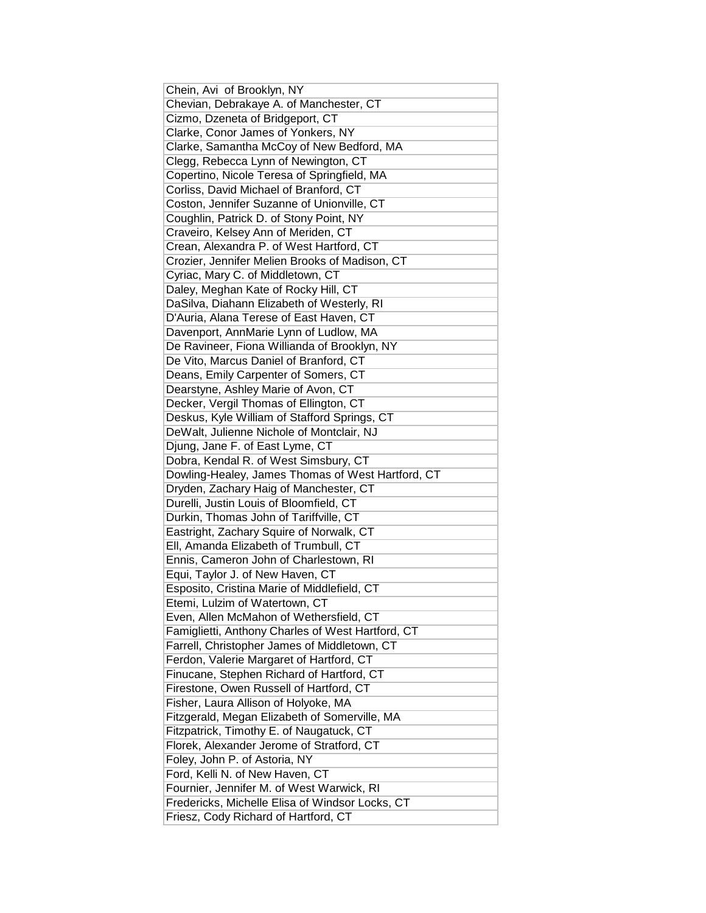| Chein, Avi of Brooklyn, NY                                                            |
|---------------------------------------------------------------------------------------|
| Chevian, Debrakaye A. of Manchester, CT                                               |
| Cizmo, Dzeneta of Bridgeport, CT                                                      |
| Clarke, Conor James of Yonkers, NY                                                    |
| Clarke, Samantha McCoy of New Bedford, MA                                             |
| Clegg, Rebecca Lynn of Newington, CT                                                  |
| Copertino, Nicole Teresa of Springfield, MA                                           |
| Corliss, David Michael of Branford, CT                                                |
| Coston, Jennifer Suzanne of Unionville, CT                                            |
| Coughlin, Patrick D. of Stony Point, NY                                               |
| Craveiro, Kelsey Ann of Meriden, CT                                                   |
| Crean, Alexandra P. of West Hartford, CT                                              |
| Crozier, Jennifer Melien Brooks of Madison, CT                                        |
| Cyriac, Mary C. of Middletown, CT                                                     |
| Daley, Meghan Kate of Rocky Hill, CT                                                  |
| DaSilva, Diahann Elizabeth of Westerly, RI                                            |
| D'Auria, Alana Terese of East Haven, CT                                               |
| Davenport, AnnMarie Lynn of Ludlow, MA                                                |
| De Ravineer, Fiona Willianda of Brooklyn, NY                                          |
| De Vito, Marcus Daniel of Branford, CT                                                |
| Deans, Emily Carpenter of Somers, CT                                                  |
| Dearstyne, Ashley Marie of Avon, CT                                                   |
| Decker, Vergil Thomas of Ellington, CT                                                |
| Deskus, Kyle William of Stafford Springs, CT                                          |
| DeWalt, Julienne Nichole of Montclair, NJ                                             |
| Djung, Jane F. of East Lyme, CT                                                       |
| Dobra, Kendal R. of West Simsbury, CT                                                 |
| Dowling-Healey, James Thomas of West Hartford, CT                                     |
| Dryden, Zachary Haig of Manchester, CT                                                |
| Durelli, Justin Louis of Bloomfield, CT                                               |
| Durkin, Thomas John of Tariffville, CT                                                |
| Eastright, Zachary Squire of Norwalk, CT                                              |
| Ell, Amanda Elizabeth of Trumbull, CT                                                 |
| Ennis, Cameron John of Charlestown, RI                                                |
| Equi, Taylor J. of New Haven, CT                                                      |
| Esposito, Cristina Marie of Middlefield, CT                                           |
| Etemi, Lulzim of Watertown, CT                                                        |
| Even, Allen McMahon of Wethersfield, CT                                               |
| Famiglietti, Anthony Charles of West Hartford, CT                                     |
| Farrell, Christopher James of Middletown, CT                                          |
|                                                                                       |
|                                                                                       |
| Ferdon, Valerie Margaret of Hartford, CT<br>Finucane, Stephen Richard of Hartford, CT |
| Firestone, Owen Russell of Hartford, CT                                               |
| Fisher, Laura Allison of Holyoke, MA                                                  |
| Fitzgerald, Megan Elizabeth of Somerville, MA                                         |
| Fitzpatrick, Timothy E. of Naugatuck, CT                                              |
| Florek, Alexander Jerome of Stratford, CT                                             |
| Foley, John P. of Astoria, NY                                                         |
| Ford, Kelli N. of New Haven, CT                                                       |
| Fournier, Jennifer M. of West Warwick, RI                                             |
| Fredericks, Michelle Elisa of Windsor Locks, CT                                       |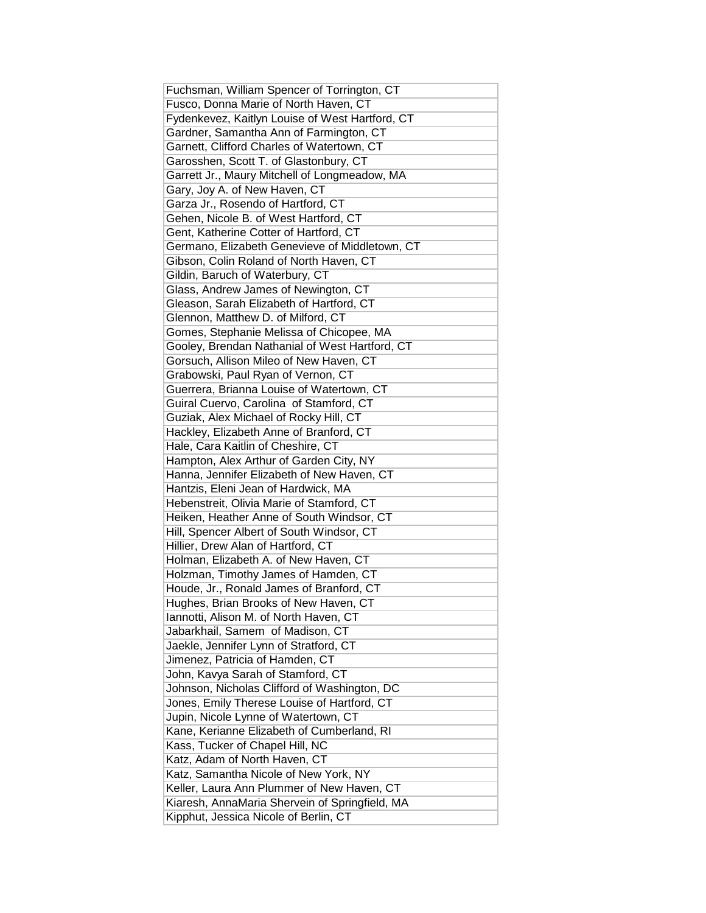| Fuchsman, William Spencer of Torrington, CT     |
|-------------------------------------------------|
| Fusco, Donna Marie of North Haven, CT           |
| Fydenkevez, Kaitlyn Louise of West Hartford, CT |
| Gardner, Samantha Ann of Farmington, CT         |
| Garnett, Clifford Charles of Watertown, CT      |
| Garosshen, Scott T. of Glastonbury, CT          |
| Garrett Jr., Maury Mitchell of Longmeadow, MA   |
| Gary, Joy A. of New Haven, CT                   |
| Garza Jr., Rosendo of Hartford, CT              |
| Gehen, Nicole B. of West Hartford, CT           |
| Gent, Katherine Cotter of Hartford, CT          |
| Germano, Elizabeth Genevieve of Middletown, CT  |
| Gibson, Colin Roland of North Haven, CT         |
| Gildin, Baruch of Waterbury, CT                 |
| Glass, Andrew James of Newington, CT            |
| Gleason, Sarah Elizabeth of Hartford, CT        |
| Glennon, Matthew D. of Milford, CT              |
| Gomes, Stephanie Melissa of Chicopee, MA        |
| Gooley, Brendan Nathanial of West Hartford, CT  |
| Gorsuch, Allison Mileo of New Haven, CT         |
| Grabowski, Paul Ryan of Vernon, CT              |
| Guerrera, Brianna Louise of Watertown, CT       |
| Guiral Cuervo, Carolina of Stamford, CT         |
| Guziak, Alex Michael of Rocky Hill, CT          |
| Hackley, Elizabeth Anne of Branford, CT         |
| Hale, Cara Kaitlin of Cheshire, CT              |
| Hampton, Alex Arthur of Garden City, NY         |
| Hanna, Jennifer Elizabeth of New Haven, CT      |
| Hantzis, Eleni Jean of Hardwick, MA             |
| Hebenstreit, Olivia Marie of Stamford, CT       |
| Heiken, Heather Anne of South Windsor, CT       |
| Hill, Spencer Albert of South Windsor, CT       |
| Hillier, Drew Alan of Hartford, CT              |
| Holman, Elizabeth A. of New Haven, CT           |
| Holzman, Timothy James of Hamden, CT            |
| Houde, Jr., Ronald James of Branford, CT        |
| Hughes, Brian Brooks of New Haven, CT           |
| Iannotti, Alison M. of North Haven, CT          |
| Jabarkhail, Samem of Madison, CT                |
| Jaekle, Jennifer Lynn of Stratford, CT          |
| Jimenez, Patricia of Hamden, CT                 |
| John, Kavya Sarah of Stamford, CT               |
| Johnson, Nicholas Clifford of Washington, DC    |
| Jones, Emily Therese Louise of Hartford, CT     |
| Jupin, Nicole Lynne of Watertown, CT            |
| Kane, Kerianne Elizabeth of Cumberland, RI      |
| Kass, Tucker of Chapel Hill, NC                 |
| Katz, Adam of North Haven, CT                   |
| Katz, Samantha Nicole of New York, NY           |
| Keller, Laura Ann Plummer of New Haven, CT      |
| Kiaresh, AnnaMaria Shervein of Springfield, MA  |
| Kipphut, Jessica Nicole of Berlin, CT           |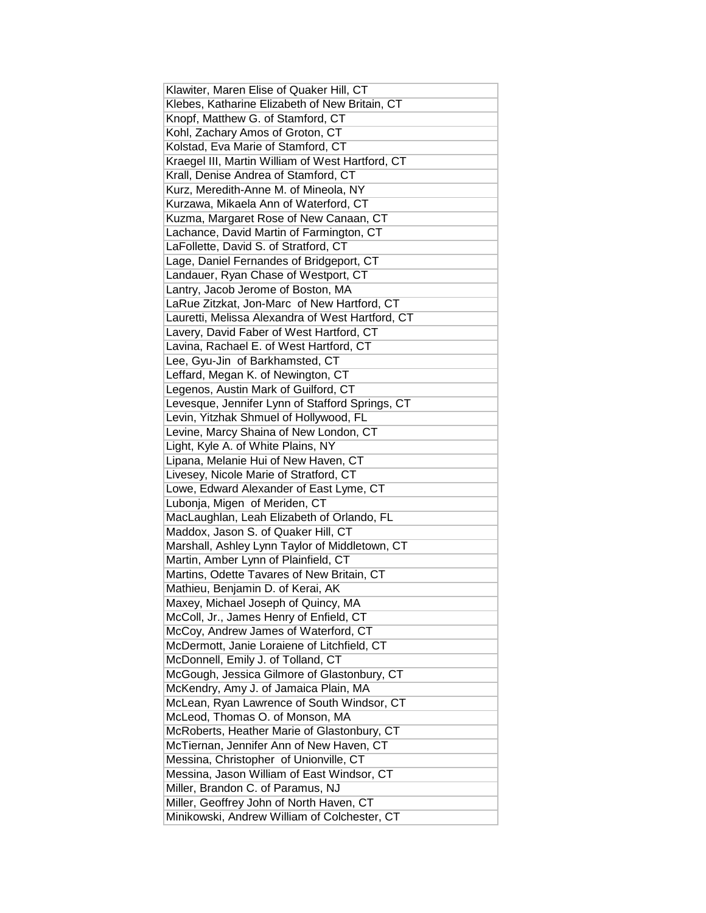| Klawiter, Maren Elise of Quaker Hill, CT         |
|--------------------------------------------------|
| Klebes, Katharine Elizabeth of New Britain, CT   |
| Knopf, Matthew G. of Stamford, CT                |
| Kohl, Zachary Amos of Groton, CT                 |
| Kolstad, Eva Marie of Stamford, CT               |
| Kraegel III, Martin William of West Hartford, CT |
| Krall, Denise Andrea of Stamford, CT             |
| Kurz, Meredith-Anne M. of Mineola, NY            |
| Kurzawa, Mikaela Ann of Waterford, CT            |
| Kuzma, Margaret Rose of New Canaan, CT           |
| Lachance, David Martin of Farmington, CT         |
| LaFollette, David S. of Stratford, CT            |
| Lage, Daniel Fernandes of Bridgeport, CT         |
| Landauer, Ryan Chase of Westport, CT             |
| Lantry, Jacob Jerome of Boston, MA               |
| LaRue Zitzkat, Jon-Marc of New Hartford, CT      |
| Lauretti, Melissa Alexandra of West Hartford, CT |
| Lavery, David Faber of West Hartford, CT         |
| Lavina, Rachael E. of West Hartford, CT          |
| Lee, Gyu-Jin of Barkhamsted, CT                  |
| Leffard, Megan K. of Newington, CT               |
| Legenos, Austin Mark of Guilford, CT             |
| Levesque, Jennifer Lynn of Stafford Springs, CT  |
| Levin, Yitzhak Shmuel of Hollywood, FL           |
| Levine, Marcy Shaina of New London, CT           |
| Light, Kyle A. of White Plains, NY               |
| Lipana, Melanie Hui of New Haven, CT             |
| Livesey, Nicole Marie of Stratford, CT           |
| Lowe, Edward Alexander of East Lyme, CT          |
| Lubonja, Migen of Meriden, CT                    |
| MacLaughlan, Leah Elizabeth of Orlando, FL       |
| Maddox, Jason S. of Quaker Hill, CT              |
| Marshall, Ashley Lynn Taylor of Middletown, CT   |
| Martin, Amber Lynn of Plainfield, CT             |
| Martins, Odette Tavares of New Britain, CT       |
| Mathieu, Benjamin D. of Kerai, AK                |
| Maxey, Michael Joseph of Quincy, MA              |
| McColl, Jr., James Henry of Enfield, CT          |
| McCoy, Andrew James of Waterford, CT             |
| McDermott, Janie Loraiene of Litchfield, CT      |
| McDonnell, Emily J. of Tolland, CT               |
| McGough, Jessica Gilmore of Glastonbury, CT      |
| McKendry, Amy J. of Jamaica Plain, MA            |
| McLean, Ryan Lawrence of South Windsor, CT       |
| McLeod, Thomas O. of Monson, MA                  |
| McRoberts, Heather Marie of Glastonbury, CT      |
| McTiernan, Jennifer Ann of New Haven, CT         |
| Messina, Christopher of Unionville, CT           |
| Messina, Jason William of East Windsor, CT       |
| Miller, Brandon C. of Paramus, NJ                |
| Miller, Geoffrey John of North Haven, CT         |
| Minikowski, Andrew William of Colchester, CT     |
|                                                  |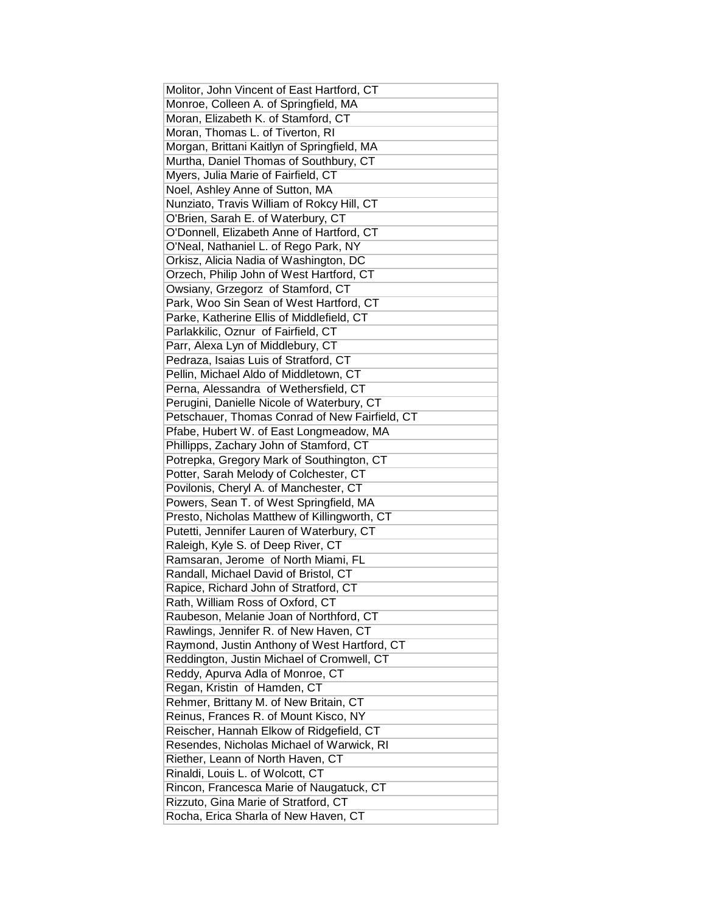| Molitor, John Vincent of East Hartford, CT     |
|------------------------------------------------|
| Monroe, Colleen A. of Springfield, MA          |
| Moran, Elizabeth K. of Stamford, CT            |
| Moran, Thomas L. of Tiverton, RI               |
| Morgan, Brittani Kaitlyn of Springfield, MA    |
| Murtha, Daniel Thomas of Southbury, CT         |
| Myers, Julia Marie of Fairfield, CT            |
| Noel, Ashley Anne of Sutton, MA                |
| Nunziato, Travis William of Rokcy Hill, CT     |
| O'Brien, Sarah E. of Waterbury, CT             |
| O'Donnell, Elizabeth Anne of Hartford, CT      |
| O'Neal, Nathaniel L. of Rego Park, NY          |
| Orkisz, Alicia Nadia of Washington, DC         |
| Orzech, Philip John of West Hartford, CT       |
| Owsiany, Grzegorz of Stamford, CT              |
| Park, Woo Sin Sean of West Hartford, CT        |
| Parke, Katherine Ellis of Middlefield, CT      |
| Parlakkilic, Oznur of Fairfield, CT            |
| Parr, Alexa Lyn of Middlebury, CT              |
| Pedraza, Isaias Luis of Stratford, CT          |
| Pellin, Michael Aldo of Middletown, CT         |
| Perna, Alessandra of Wethersfield, CT          |
| Perugini, Danielle Nicole of Waterbury, CT     |
| Petschauer, Thomas Conrad of New Fairfield, CT |
| Pfabe, Hubert W. of East Longmeadow, MA        |
| Phillipps, Zachary John of Stamford, CT        |
| Potrepka, Gregory Mark of Southington, CT      |
| Potter, Sarah Melody of Colchester, CT         |
| Povilonis, Cheryl A. of Manchester, CT         |
| Powers, Sean T. of West Springfield, MA        |
| Presto, Nicholas Matthew of Killingworth, CT   |
| Putetti, Jennifer Lauren of Waterbury, CT      |
| Raleigh, Kyle S. of Deep River, CT             |
| Ramsaran, Jerome of North Miami, FL            |
| Randall, Michael David of Bristol, CT          |
| Rapice, Richard John of Stratford, CT          |
| Rath, William Ross of Oxford, CT               |
| Raubeson, Melanie Joan of Northford, CT        |
| Rawlings, Jennifer R. of New Haven, CT         |
| Raymond, Justin Anthony of West Hartford, CT   |
|                                                |
| Reddington, Justin Michael of Cromwell, CT     |
| Reddy, Apurva Adla of Monroe, CT               |
| Regan, Kristin of Hamden, CT                   |
| Rehmer, Brittany M. of New Britain, CT         |
| Reinus, Frances R. of Mount Kisco, NY          |
| Reischer, Hannah Elkow of Ridgefield, CT       |
| Resendes, Nicholas Michael of Warwick, RI      |
| Riether, Leann of North Haven, CT              |
| Rinaldi, Louis L. of Wolcott, CT               |
| Rincon, Francesca Marie of Naugatuck, CT       |
| Rizzuto, Gina Marie of Stratford, CT           |
| Rocha, Erica Sharla of New Haven, CT           |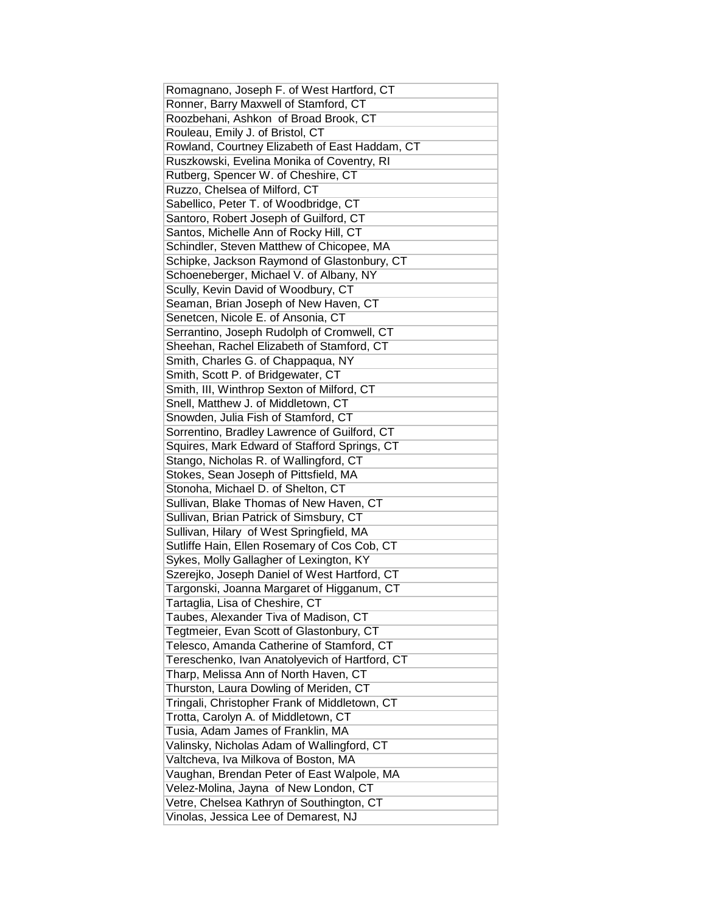| Romagnano, Joseph F. of West Hartford, CT      |
|------------------------------------------------|
| Ronner, Barry Maxwell of Stamford, CT          |
| Roozbehani, Ashkon of Broad Brook, CT          |
| Rouleau, Emily J. of Bristol, CT               |
| Rowland, Courtney Elizabeth of East Haddam, CT |
| Ruszkowski, Evelina Monika of Coventry, RI     |
| Rutberg, Spencer W. of Cheshire, CT            |
| Ruzzo, Chelsea of Milford, CT                  |
| Sabellico, Peter T. of Woodbridge, CT          |
| Santoro, Robert Joseph of Guilford, CT         |
| Santos, Michelle Ann of Rocky Hill, CT         |
| Schindler, Steven Matthew of Chicopee, MA      |
| Schipke, Jackson Raymond of Glastonbury, CT    |
| Schoeneberger, Michael V. of Albany, NY        |
| Scully, Kevin David of Woodbury, CT            |
| Seaman, Brian Joseph of New Haven, CT          |
| Senetcen, Nicole E. of Ansonia, CT             |
| Serrantino, Joseph Rudolph of Cromwell, CT     |
| Sheehan, Rachel Elizabeth of Stamford, CT      |
| Smith, Charles G. of Chappaqua, NY             |
| Smith, Scott P. of Bridgewater, CT             |
| Smith, III, Winthrop Sexton of Milford, CT     |
| Snell, Matthew J. of Middletown, CT            |
| Snowden, Julia Fish of Stamford, CT            |
| Sorrentino, Bradley Lawrence of Guilford, CT   |
| Squires, Mark Edward of Stafford Springs, CT   |
| Stango, Nicholas R. of Wallingford, CT         |
| Stokes, Sean Joseph of Pittsfield, MA          |
| Stonoha, Michael D. of Shelton, CT             |
| Sullivan, Blake Thomas of New Haven, CT        |
| Sullivan, Brian Patrick of Simsbury, CT        |
| Sullivan, Hilary of West Springfield, MA       |
| Sutliffe Hain, Ellen Rosemary of Cos Cob, CT   |
| Sykes, Molly Gallagher of Lexington, KY        |
| Szerejko, Joseph Daniel of West Hartford, CT   |
| Targonski, Joanna Margaret of Higganum, CT     |
| Tartaglia, Lisa of Cheshire, CT                |
| Taubes, Alexander Tiva of Madison, CT          |
| Tegtmeier, Evan Scott of Glastonbury, CT       |
| Telesco, Amanda Catherine of Stamford, CT      |
| Tereschenko, Ivan Anatolyevich of Hartford, CT |
| Tharp, Melissa Ann of North Haven, CT          |
| Thurston, Laura Dowling of Meriden, CT         |
| Tringali, Christopher Frank of Middletown, CT  |
| Trotta, Carolyn A. of Middletown, CT           |
| Tusia, Adam James of Franklin, MA              |
| Valinsky, Nicholas Adam of Wallingford, CT     |
| Valtcheva, Iva Milkova of Boston, MA           |
| Vaughan, Brendan Peter of East Walpole, MA     |
| Velez-Molina, Jayna of New London, CT          |
| Vetre, Chelsea Kathryn of Southington, CT      |
| Vinolas, Jessica Lee of Demarest, NJ           |